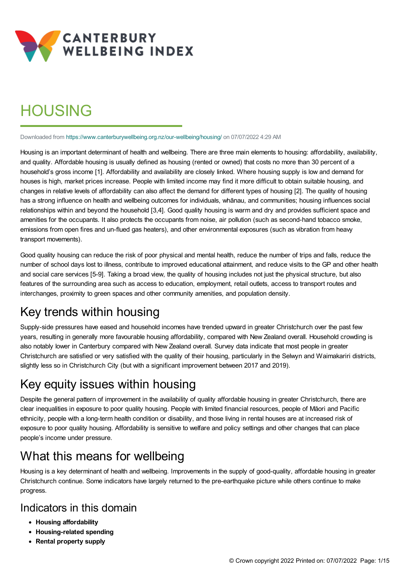

# **HOUSING**

Downloaded from <https://www.canterburywellbeing.org.nz/our-wellbeing/housing/> on 07/07/2022 4:29 AM

Housing is an important determinant of health and wellbeing. There are three main elements to housing: affordability, availability, and quality. Affordable housing is usually defined as housing (rented or owned) that costs no more than 30 percent of a household's gross income [1]. Affordability and availability are closely linked. Where housing supply is low and demand for houses is high, market prices increase. People with limited income may find it more difficult to obtain suitable housing, and changes in relative levels of affordability can also affect the demand for different types of housing [2]. The quality of housing has a strong influence on health and wellbeing outcomes for individuals, whānau, and communities; housing influences social relationships within and beyond the household [3,4]. Good quality housing is warm and dry and provides sufficient space and amenities for the occupants. It also protects the occupants from noise, air pollution (such as second-hand tobacco smoke, emissions from open fires and un-flued gas heaters), and other environmental exposures (such as vibration from heavy transport movements).

Good quality housing can reduce the risk of poor physical and mental health, reduce the number of trips and falls, reduce the number of school days lost to illness, contribute to improved educational attainment, and reduce visits to the GP and other health and social care services [5-9]. Taking a broad view, the quality of housing includes not just the physical structure, but also features of the surrounding area such as access to education, employment, retail outlets, access to transport routes and interchanges, proximity to green spaces and other community amenities, and population density.

## Key trends within housing

Supply-side pressures have eased and household incomes have trended upward in greater Christchurch over the past few years, resulting in generally more favourable housing affordability, compared with New Zealand overall. Household crowding is also notably lower in Canterbury compared with New Zealand overall. Survey data indicate that most people in greater Christchurch are satisfied or very satisfied with the quality of their housing, particularly in the Selwyn and Waimakariri districts, slightly less so in Christchurch City (but with a significant improvement between 2017 and 2019).

## Key equity issues within housing

Despite the general pattern of improvement in the availability of quality affordable housing in greater Christchurch, there are clear inequalities in exposure to poor quality housing. People with limited financial resources, people of Māori and Pacific ethnicity, people with a long-term health condition or disability, and those living in rental houses are at increased risk of exposure to poor quality housing. Affordability is sensitive to welfare and policy settings and other changes that can place people's income under pressure.

## What this means for wellbeing

Housing is a key determinant of health and wellbeing. Improvements in the supply of good-quality, affordable housing in greater Christchurch continue. Some indicators have largely returned to the pre-earthquake picture while others continue to make progress.

## Indicators in this domain

- **Housing affordability**
- **Housing-related spending**
- **Rental property supply**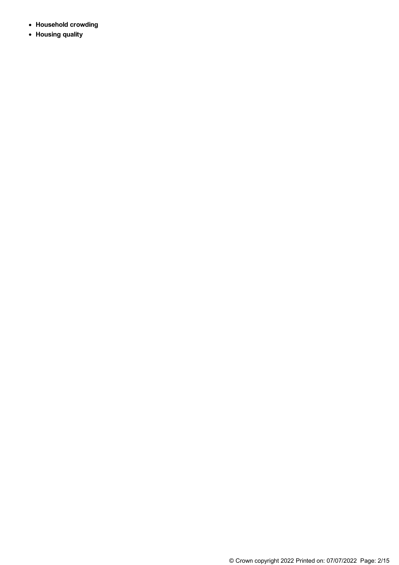- **Household crowding**
- **Housing quality**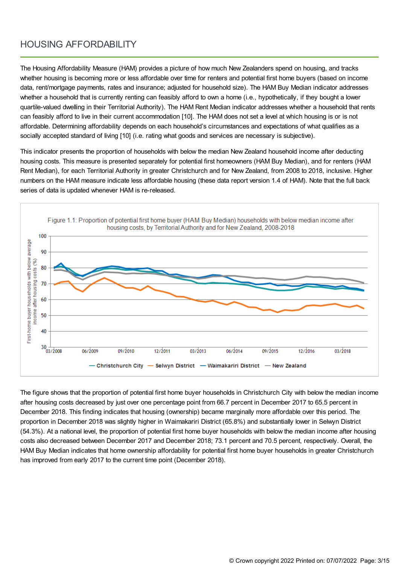### HOUSING AFFORDABILITY

The Housing Affordability Measure (HAM) provides a picture of how much New Zealanders spend on housing, and tracks whether housing is becoming more or less affordable over time for renters and potential first home buyers (based on income data, rent/mortgage payments, rates and insurance; adjusted for household size). The HAM Buy Median indicator addresses whether a household that is currently renting can feasibly afford to own a home (i.e., hypothetically, if they bought a lower quartile-valued dwelling in their Territorial Authority). The HAM Rent Median indicator addresses whether a household that rents can feasibly afford to live in their current accommodation [10]. The HAM does not set a level at which housing is or is not affordable. Determining affordability depends on each household's circumstances and expectations of what qualifies as a socially accepted standard of living [10] (i.e. rating what goods and services are necessary is subjective).

This indicator presents the proportion of households with below the median New Zealand household income after deducting housing costs. This measure is presented separately for potential first homeowners (HAM Buy Median), and for renters (HAM Rent Median), for each Territorial Authority in greater Christchurch and for New Zealand, from 2008 to 2018, inclusive. Higher numbers on the HAM measure indicate less affordable housing (these data report version 1.4 of HAM). Note that the full back series of data is updated whenever HAM is re-released.



The figure shows that the proportion of potential first home buyer households in Christchurch City with below the median income after housing costs decreased by just over one percentage point from 66.7 percent in December 2017 to 65.5 percent in December 2018. This finding indicates that housing (ownership) became marginally more affordable over this period. The proportion in December 2018 was slightly higher in Waimakariri District (65.8%) and substantially lower in Selwyn District (54.3%). At a national level, the proportion of potential first home buyer households with below the median income after housing costs also decreased between December 2017 and December 2018; 73.1 percent and 70.5 percent, respectively. Overall, the HAM Buy Median indicates that home ownership affordability for potential first home buyer households in greater Christchurch has improved from early 2017 to the current time point (December 2018).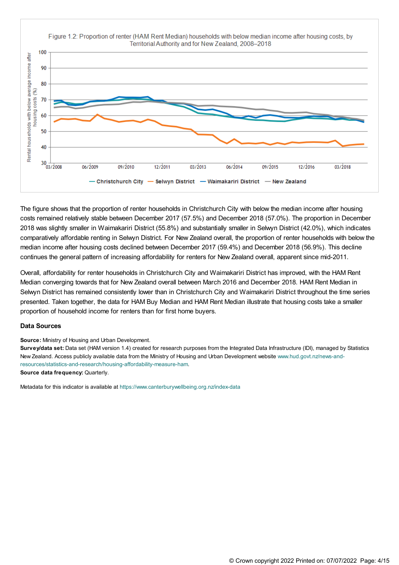

The figure shows that the proportion of renter households in Christchurch City with below the median income after housing costs remained relatively stable between December 2017 (57.5%) and December 2018 (57.0%). The proportion in December 2018 was slightly smaller in Waimakariri District (55.8%) and substantially smaller in Selwyn District (42.0%), which indicates comparatively affordable renting in Selwyn District. For New Zealand overall, the proportion of renter households with below the median income after housing costs declined between December 2017 (59.4%) and December 2018 (56.9%). This decline continues the general pattern of increasing affordability for renters for New Zealand overall, apparent since mid-2011.

Overall, affordability for renter households in Christchurch City and Waimakariri District has improved, with the HAM Rent Median converging towards that for New Zealand overall between March 2016 and December 2018. HAM Rent Median in Selwyn District has remained consistently lower than in Christchurch City and Waimakariri District throughout the time series presented. Taken together, the data for HAM Buy Median and HAM Rent Median illustrate that housing costs take a smaller proportion of household income for renters than for first home buyers.

#### **Data Sources**

**Source:** Ministry of Housing and Urban Development.

**Survey/data set:** Data set (HAM version 1.4) created for research purposes from the Integrated Data Infrastructure (IDI), managed by Statistics New Zealand. Access publicly available data from the Ministry of Housing and Urban Development website www.hud.govt.nz/news-and[resources/statistics-and-research/housing-affordability-measure-ham.](https://www.hud.govt.nz/news-and-resources/statistics-and-research/housing-affordability-measure-ham/) **Source data frequency:** Quarterly.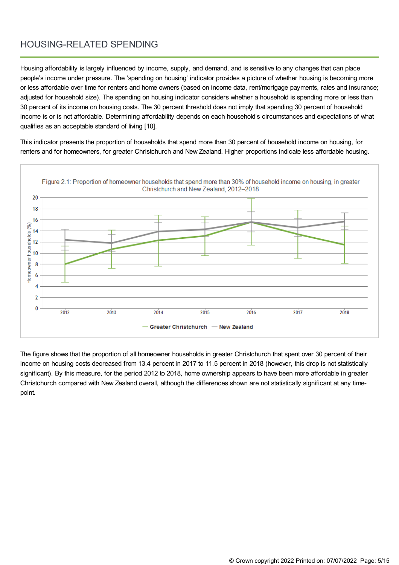### HOUSING-RELATED SPENDING

Housing affordability is largely influenced by income, supply, and demand, and is sensitive to any changes that can place people's income under pressure. The 'spending on housing' indicator provides a picture of whether housing is becoming more or less affordable over time for renters and home owners (based on income data, rent/mortgage payments, rates and insurance; adjusted for household size). The spending on housing indicator considers whether a household is spending more or less than 30 percent of its income on housing costs. The 30 percent threshold does not imply that spending 30 percent of household income is or is not affordable. Determining affordability depends on each household's circumstances and expectations of what qualifies as an acceptable standard of living [10].

This indicator presents the proportion of households that spend more than 30 percent of household income on housing, for renters and for homeowners, for greater Christchurch and New Zealand. Higher proportions indicate less affordable housing.



The figure shows that the proportion of all homeowner households in greater Christchurch that spent over 30 percent of their income on housing costs decreased from 13.4 percent in 2017 to 11.5 percent in 2018 (however, this drop is not statistically significant). By this measure, for the period 2012 to 2018, home ownership appears to have been more affordable in greater Christchurch compared with New Zealand overall, although the differences shown are not statistically significant at any timepoint.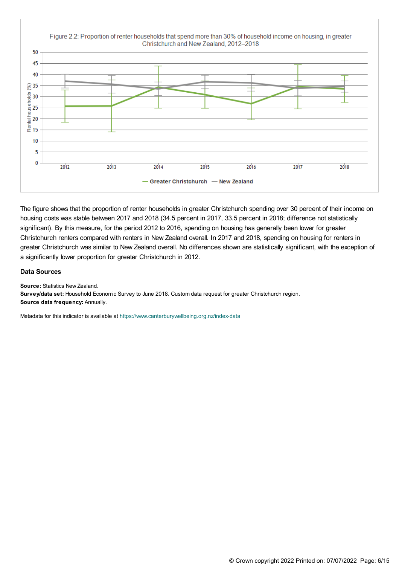

The figure shows that the proportion of renter households in greater Christchurch spending over 30 percent of their income on housing costs was stable between 2017 and 2018 (34.5 percent in 2017, 33.5 percent in 2018; difference not statistically significant). By this measure, for the period 2012 to 2016, spending on housing has generally been lower for greater Christchurch renters compared with renters in New Zealand overall. In 2017 and 2018, spending on housing for renters in greater Christchurch was similar to New Zealand overall. No differences shown are statistically significant, with the exception of a significantly lower proportion for greater Christchurch in 2012.

#### **Data Sources**

**Source:** Statistics New Zealand.

**Survey/data set:** Household Economic Survey to June 2018. Custom data request for greater Christchurch region. **Source data frequency:** Annually.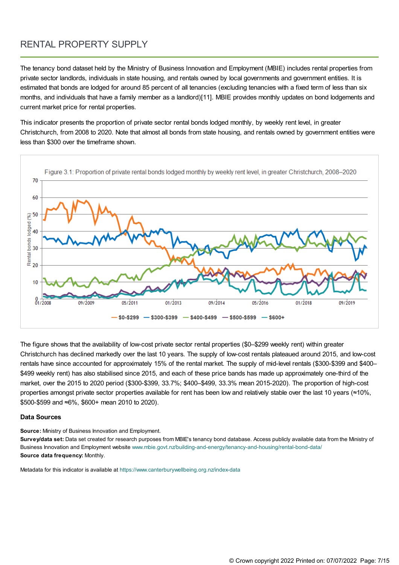## RENTAL PROPERTY SUPPLY

The tenancy bond dataset held by the Ministry of Business Innovation and Employment (MBIE) includes rental properties from private sector landlords, individuals in state housing, and rentals owned by local governments and government entities. It is estimated that bonds are lodged for around 85 percent of all tenancies (excluding tenancies with a fixed term of less than six months, and individuals that have a family member as a landlord)[11]. MBIE provides monthly updates on bond lodgements and current market price for rental properties.

This indicator presents the proportion of private sector rental bonds lodged monthly, by weekly rent level, in greater Christchurch, from 2008 to 2020. Note that almost all bonds from state housing, and rentals owned by government entities were less than \$300 over the timeframe shown.



The figure shows that the availability of low-cost private sector rental properties (\$0–\$299 weekly rent) within greater Christchurch has declined markedly over the last 10 years. The supply of low-cost rentals plateaued around 2015, and low-cost rentals have since accounted for approximately 15% of the rental market. The supply of mid-level rentals (\$300-\$399 and \$400– \$499 weekly rent) has also stabilised since 2015, and each of these price bands has made up approximately one-third of the market, over the 2015 to 2020 period (\$300-\$399, 33.7%; \$400–\$499, 33.3% mean 2015-2020). The proportion of high-cost properties amongst private sector properties available for rent has been low and relatively stable over the last 10 years (≈10%, \$500-\$599 and ≈6%, \$600+ mean 2010 to 2020).

#### **Data Sources**

**Source:** Ministry of Business Innovation and Employment.

**Survey/data set:** Data set created for research purposes from MBIE's tenancy bond database. Access publicly available data from the Ministry of Business Innovation and Employment website [www.mbie.govt.nz/building-and-energy/tenancy-and-housing/rental-bond-data/](https://www.mbie.govt.nz/building-and-energy/tenancy-and-housing/rental-bond-data/) **Source data frequency:** Monthly.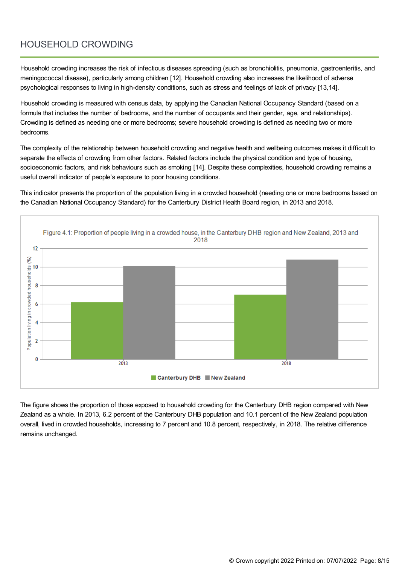## HOUSEHOLD CROWDING

Household crowding increases the risk of infectious diseases spreading (such as bronchiolitis, pneumonia, gastroenteritis, and meningococcal disease), particularly among children [12]. Household crowding also increases the likelihood of adverse psychological responses to living in high-density conditions, such as stress and feelings of lack of privacy [13,14].

Household crowding is measured with census data, by applying the Canadian National Occupancy Standard (based on a formula that includes the number of bedrooms, and the number of occupants and their gender, age, and relationships). Crowding is defined as needing one or more bedrooms; severe household crowding is defined as needing two or more bedrooms.

The complexity of the relationship between household crowding and negative health and wellbeing outcomes makes it difficult to separate the effects of crowding from other factors. Related factors include the physical condition and type of housing, socioeconomic factors, and risk behaviours such as smoking [14]. Despite these complexities, household crowding remains a useful overall indicator of people's exposure to poor housing conditions.

This indicator presents the proportion of the population living in a crowded household (needing one or more bedrooms based on the Canadian National Occupancy Standard) for the Canterbury District Health Board region, in 2013 and 2018.



The figure shows the proportion of those exposed to household crowding for the Canterbury DHB region compared with New Zealand as a whole. In 2013, 6.2 percent of the Canterbury DHB population and 10.1 percent of the New Zealand population overall, lived in crowded households, increasing to 7 percent and 10.8 percent, respectively, in 2018. The relative difference remains unchanged.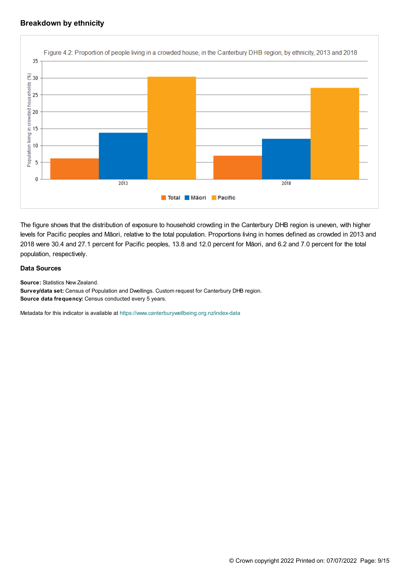#### **Breakdown by ethnicity**



The figure shows that the distribution of exposure to household crowding in the Canterbury DHB region is uneven, with higher levels for Pacific peoples and Māori, relative to the total population. Proportions living in homes defined as crowded in 2013 and 2018 were 30.4 and 27.1 percent for Pacific peoples, 13.8 and 12.0 percent for Māori, and 6.2 and 7.0 percent for the total population, respectively.

#### **Data Sources**

**Source:** Statistics New Zealand.

**Survey/data set:** Census of Population and Dwellings. Custom request for Canterbury DHB region. **Source data frequency:** Census conducted every 5 years.

Metadata for this indicator is available at [https://www.canterburywellbeing.org.nz/index-data](https://www.canterburywellbeing.org.nz/site-information/index-data)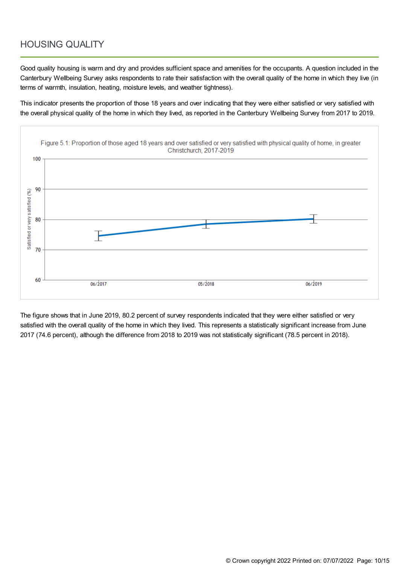### HOUSING QUALITY

Good quality housing is warm and dry and provides sufficient space and amenities for the occupants. A question included in the Canterbury Wellbeing Survey asks respondents to rate their satisfaction with the overall quality of the home in which they live (in terms of warmth, insulation, heating, moisture levels, and weather tightness).

This indicator presents the proportion of those 18 years and over indicating that they were either satisfied or very satisfied with the overall physical quality of the home in which they lived, as reported in the Canterbury Wellbeing Survey from 2017 to 2019.



The figure shows that in June 2019, 80.2 percent of survey respondents indicated that they were either satisfied or very satisfied with the overall quality of the home in which they lived. This represents a statistically significant increase from June 2017 (74.6 percent), although the difference from 2018 to 2019 was not statistically significant (78.5 percent in 2018).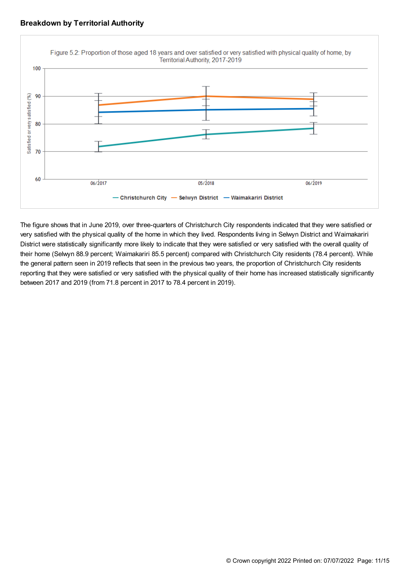



The figure shows that in June 2019, over three-quarters of Christchurch City respondents indicated that they were satisfied or very satisfied with the physical quality of the home in which they lived. Respondents living in Selwyn District and Waimakariri District were statistically significantly more likely to indicate that they were satisfied or very satisfied with the overall quality of their home (Selwyn 88.9 percent; Waimakariri 85.5 percent) compared with Christchurch City residents (78.4 percent). While the general pattern seen in 2019 reflects that seen in the previous two years, the proportion of Christchurch City residents reporting that they were satisfied or very satisfied with the physical quality of their home has increased statistically significantly between 2017 and 2019 (from 71.8 percent in 2017 to 78.4 percent in 2019).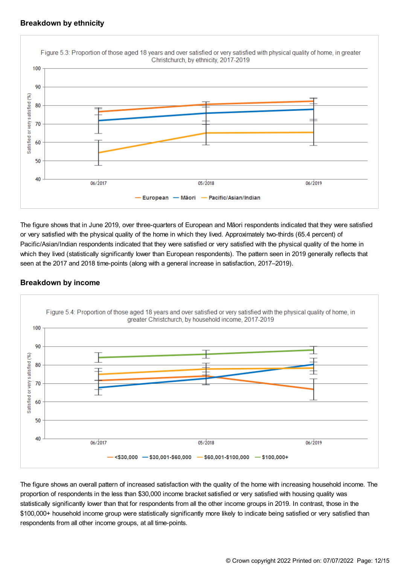

The figure shows that in June 2019, over three-quarters of European and Māori respondents indicated that they were satisfied or very satisfied with the physical quality of the home in which they lived. Approximately two-thirds (65.4 percent) of Pacific/Asian/Indian respondents indicated that they were satisfied or very satisfied with the physical quality of the home in which they lived (statistically significantly lower than European respondents). The pattern seen in 2019 generally reflects that seen at the 2017 and 2018 time-points (along with a general increase in satisfaction, 2017–2019).

#### **Breakdown by income**



The figure shows an overall pattern of increased satisfaction with the quality of the home with increasing household income. The proportion of respondents in the less than \$30,000 income bracket satisfied or very satisfied with housing quality was statistically significantly lower than that for respondents from all the other income groups in 2019. In contrast, those in the \$100,000+ household income group were statistically significantly more likely to indicate being satisfied or very satisfied than respondents from all other income groups, at all time-points.

#### © Crown copyright2022 Printed on: 07/07/2022 Page: 12/15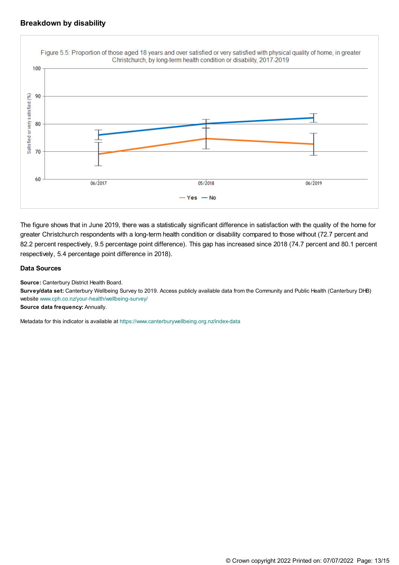

The figure shows that in June 2019, there was a statistically significant difference in satisfaction with the quality of the home for greater Christchurch respondents with a long-term health condition or disability compared to those without (72.7 percent and 82.2 percent respectively, 9.5 percentage point difference). This gap has increased since 2018 (74.7 percent and 80.1 percent respectively, 5.4 percentage point difference in 2018).

#### **Data Sources**

**Source:** Canterbury District Health Board.

**Survey/data set:** Canterbury Wellbeing Survey to 2019. Access publicly available data from the Community and Public Health (Canterbury DHB) website [www.cph.co.nz/your-health/wellbeing-survey/](https://www.cph.co.nz/your-health/wellbeing-survey/)

**Source data frequency:** Annually.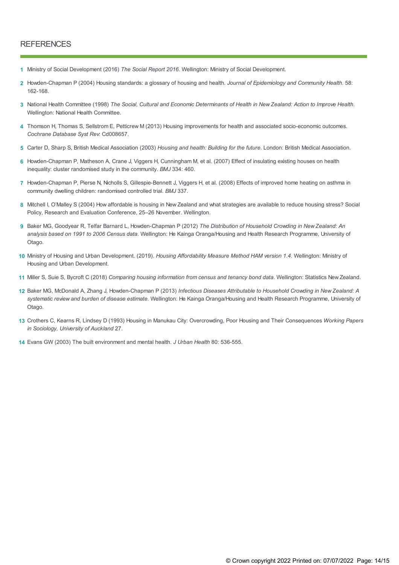#### **REFERENCES**

- **1** Ministry of Social Development (2016) *The Social Report 2016*. Wellington: Ministry of Social Development.
- Howden-Chapman P (2004) Housing standards: a glossary of housing and health. *Journal of Epidemiology and Community Health.* 58: **2** 162-168.
- 3 National Health Committee (1998) The Social, Cultural and Economic Determinants of Health in New Zealand: Action to Improve Health. Wellington: National Health Committee.
- Thomson H, Thomas S, Sellstrom E, Petticrew M (2013) Housing improvements for health and associated socio-economic outcomes. **4** *Cochrane Database Syst Rev*: Cd008657.
- **5** Carter D, Sharp S, British Medical Association (2003) *Housing and health: Building for the future*. London: British Medical Association.
- 6 Howden-Chapman P, Matheson A, Crane J, Viggers H, Cunningham M, et al. (2007) Effect of insulating existing houses on health inequality: cluster randomised study in the community. *BMJ* 334: 460.
- Howden-Chapman P, Pierse N, Nicholls S, Gillespie-Bennett J, Viggers H, et al. (2008) Effects of improved home heating on asthma in **7** community dwelling children: randomised controlled trial. *BMJ* 337.
- Mitchell I, O'Malley S (2004) How affordable is housing in New Zealand and what strategies are available to reduce housing stress? Social **8** Policy, Research and Evaluation Conference, 25–26 November. Wellington.
- Baker MG, Goodyear R, Telfar Barnard L, Howden-Chapman P (2012) *The Distribution of Household Crowding in New Zealand: An* **9** *analysis based on 1991 to 2006 Census data*. Wellington: He Kainga Oranga/Housing and Health Research Programme, University of Otago.
- Ministry of Housing and Urban Development. (2019). *Housing Affordability Measure Method HAM version 1.4*. Wellington: Ministry of **10** Housing and Urban Development.
- **11** Miller S, Suie S, Bycroft C (2018) *Comparing housing information from census and tenancy bond data*. Wellington: Statistics New Zealand.
- Baker MG, McDonald A, Zhang J, Howden-Chapman P (2013) *Infectious Diseases Attributable to Household Crowding in New Zealand: A* **12** *systematic review and burden of disease estimate*. Wellington: He Kainga Oranga/Housing and Health Research Programme, University of Otago.
- 13 Crothers C, Kearns R, Lindsey D (1993) Housing in Manukau City: Overcrowding, Poor Housing and Their Consequences Working Papers *in Sociology, University of Auckland* 27.
- **14** Evans GW (2003) The built environment and mental health. *J Urban Health* 80: 536-555.